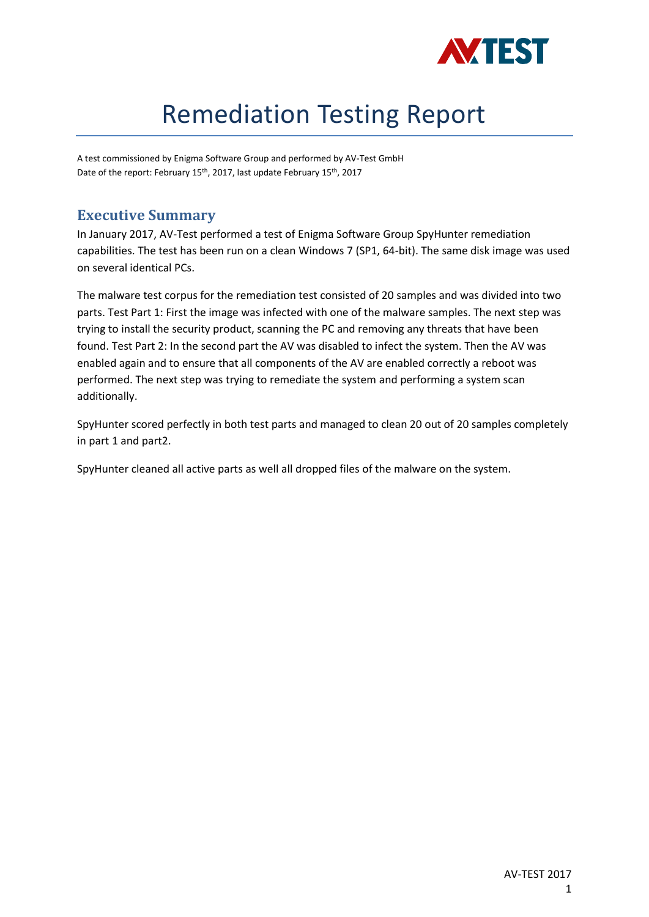

# Remediation Testing Report

A test commissioned by Enigma Software Group and performed by AV-Test GmbH Date of the report: February 15th, 2017, last update February 15th, 2017

## **Executive Summary**

In January 2017, AV-Test performed a test of Enigma Software Group SpyHunter remediation capabilities. The test has been run on a clean Windows 7 (SP1, 64-bit). The same disk image was used on several identical PCs.

The malware test corpus for the remediation test consisted of 20 samples and was divided into two parts. Test Part 1: First the image was infected with one of the malware samples. The next step was trying to install the security product, scanning the PC and removing any threats that have been found. Test Part 2: In the second part the AV was disabled to infect the system. Then the AV was enabled again and to ensure that all components of the AV are enabled correctly a reboot was performed. The next step was trying to remediate the system and performing a system scan additionally.

SpyHunter scored perfectly in both test parts and managed to clean 20 out of 20 samples completely in part 1 and part2.

SpyHunter cleaned all active parts as well all dropped files of the malware on the system.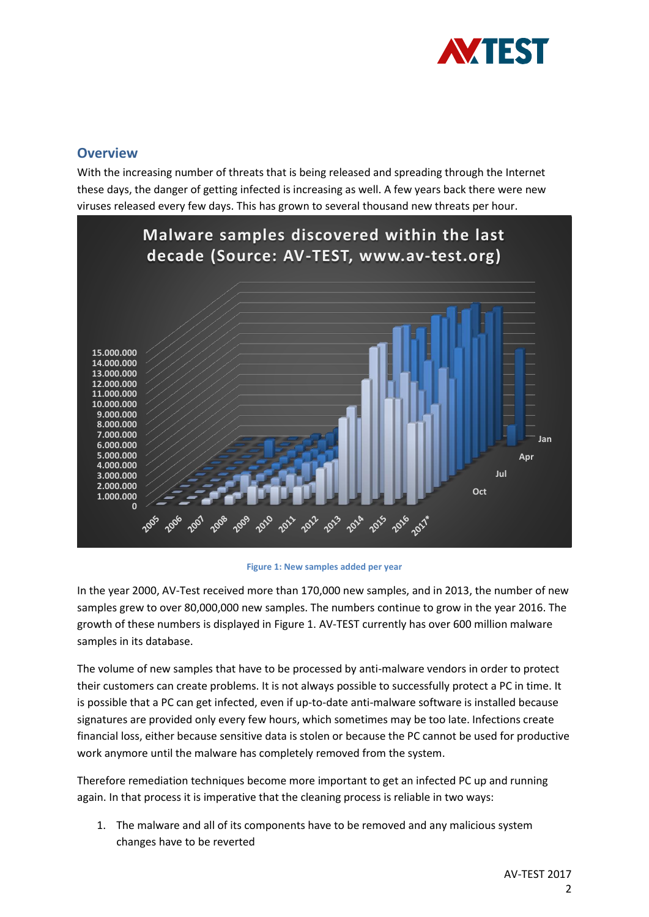

## **Overview**

With the increasing number of threats that is being released and spreading through the Internet these days, the danger of getting infected is increasing as well. A few years back there were new viruses released every few days. This has grown to several thousand new threats per hour.



#### **Figure 1: New samples added per year**

In the year 2000, AV-Test received more than 170,000 new samples, and in 2013, the number of new samples grew to over 80,000,000 new samples. The numbers continue to grow in the year 2016. The growth of these numbers is displayed in Figure 1. AV-TEST currently has over 600 million malware samples in its database.

The volume of new samples that have to be processed by anti-malware vendors in order to protect their customers can create problems. It is not always possible to successfully protect a PC in time. It is possible that a PC can get infected, even if up-to-date anti-malware software is installed because signatures are provided only every few hours, which sometimes may be too late. Infections create financial loss, either because sensitive data is stolen or because the PC cannot be used for productive work anymore until the malware has completely removed from the system.

Therefore remediation techniques become more important to get an infected PC up and running again. In that process it is imperative that the cleaning process is reliable in two ways:

1. The malware and all of its components have to be removed and any malicious system changes have to be reverted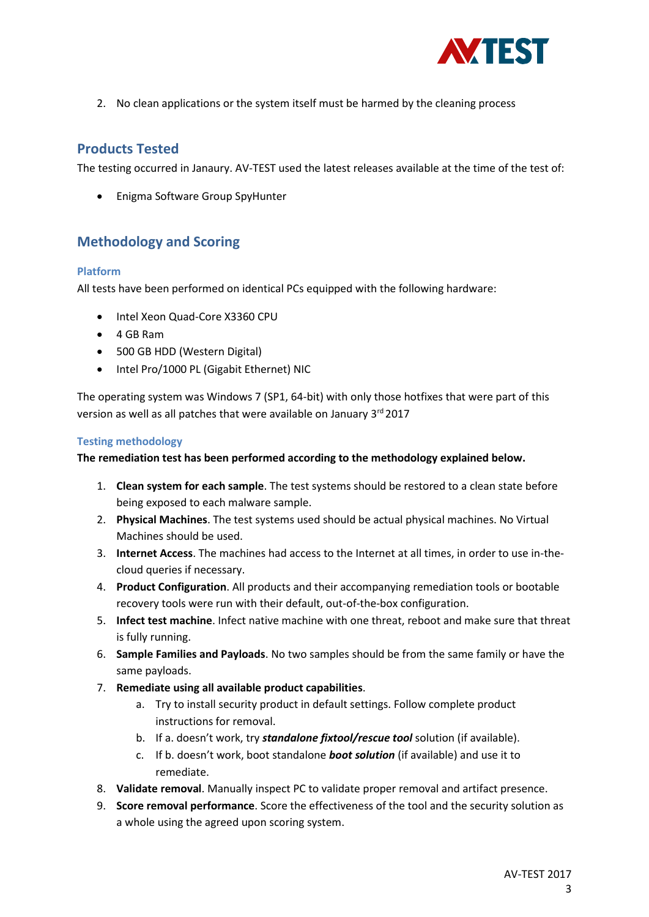

2. No clean applications or the system itself must be harmed by the cleaning process

## **Products Tested**

The testing occurred in Janaury. AV-TEST used the latest releases available at the time of the test of:

• Enigma Software Group SpyHunter

## **Methodology and Scoring**

#### **Platform**

All tests have been performed on identical PCs equipped with the following hardware:

- Intel Xeon Quad-Core X3360 CPU
- 4 GB Ram
- 500 GB HDD (Western Digital)
- Intel Pro/1000 PL (Gigabit Ethernet) NIC

The operating system was Windows 7 (SP1, 64-bit) with only those hotfixes that were part of this version as well as all patches that were available on January 3rd 2017

#### **Testing methodology**

#### **The remediation test has been performed according to the methodology explained below.**

- 1. **Clean system for each sample**. The test systems should be restored to a clean state before being exposed to each malware sample.
- 2. **Physical Machines**. The test systems used should be actual physical machines. No Virtual Machines should be used.
- 3. **Internet Access**. The machines had access to the Internet at all times, in order to use in-thecloud queries if necessary.
- 4. **Product Configuration**. All products and their accompanying remediation tools or bootable recovery tools were run with their default, out-of-the-box configuration.
- 5. **Infect test machine**. Infect native machine with one threat, reboot and make sure that threat is fully running.
- 6. **Sample Families and Payloads**. No two samples should be from the same family or have the same payloads.
- 7. **Remediate using all available product capabilities**.
	- a. Try to install security product in default settings. Follow complete product instructions for removal.
	- b. If a. doesn't work, try *standalone fixtool/rescue tool* solution (if available).
	- c. If b. doesn't work, boot standalone *boot solution* (if available) and use it to remediate.
- 8. **Validate removal**. Manually inspect PC to validate proper removal and artifact presence.
- 9. **Score removal performance**. Score the effectiveness of the tool and the security solution as a whole using the agreed upon scoring system.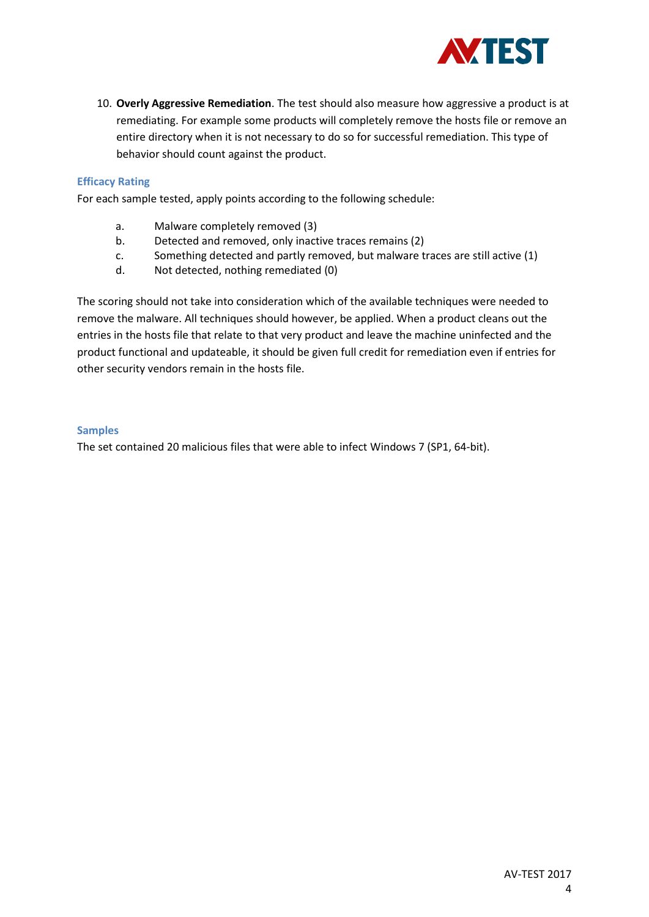

10. **Overly Aggressive Remediation**. The test should also measure how aggressive a product is at remediating. For example some products will completely remove the hosts file or remove an entire directory when it is not necessary to do so for successful remediation. This type of behavior should count against the product.

#### **Efficacy Rating**

For each sample tested, apply points according to the following schedule:

- a. Malware completely removed (3)
- b. Detected and removed, only inactive traces remains (2)
- c. Something detected and partly removed, but malware traces are still active (1)
- d. Not detected, nothing remediated (0)

The scoring should not take into consideration which of the available techniques were needed to remove the malware. All techniques should however, be applied. When a product cleans out the entries in the hosts file that relate to that very product and leave the machine uninfected and the product functional and updateable, it should be given full credit for remediation even if entries for other security vendors remain in the hosts file.

#### **Samples**

The set contained 20 malicious files that were able to infect Windows 7 (SP1, 64-bit).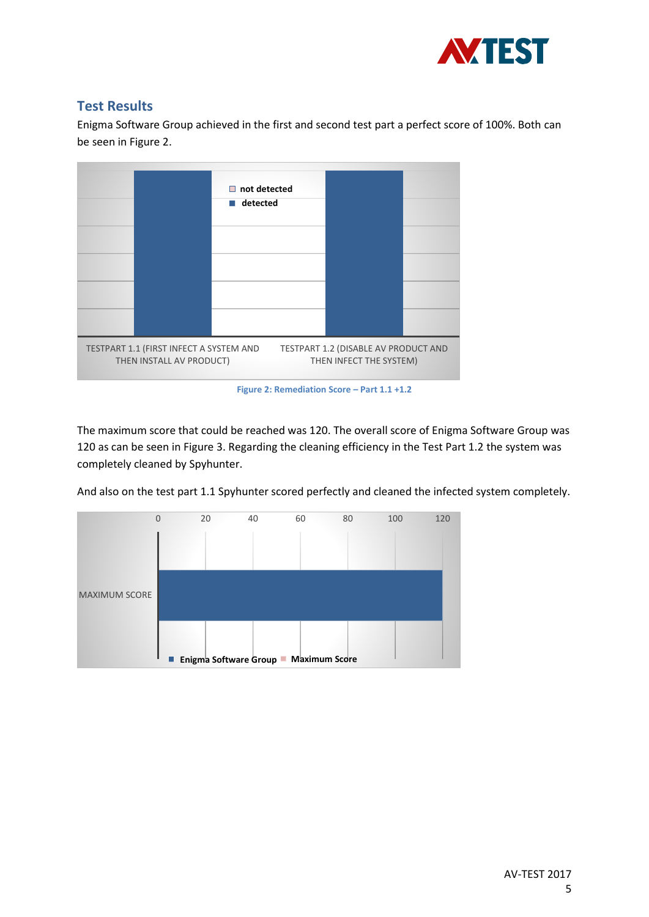

## **Test Results**

Enigma Software Group achieved in the first and second test part a perfect score of 100%. Both can be seen in Figure 2.



The maximum score that could be reached was 120. The overall score of Enigma Software Group was 120 as can be seen in Figure 3. Regarding the cleaning efficiency in the Test Part 1.2 the system was completely cleaned by Spyhunter.

And also on the test part 1.1 Spyhunter scored perfectly and cleaned the infected system completely.